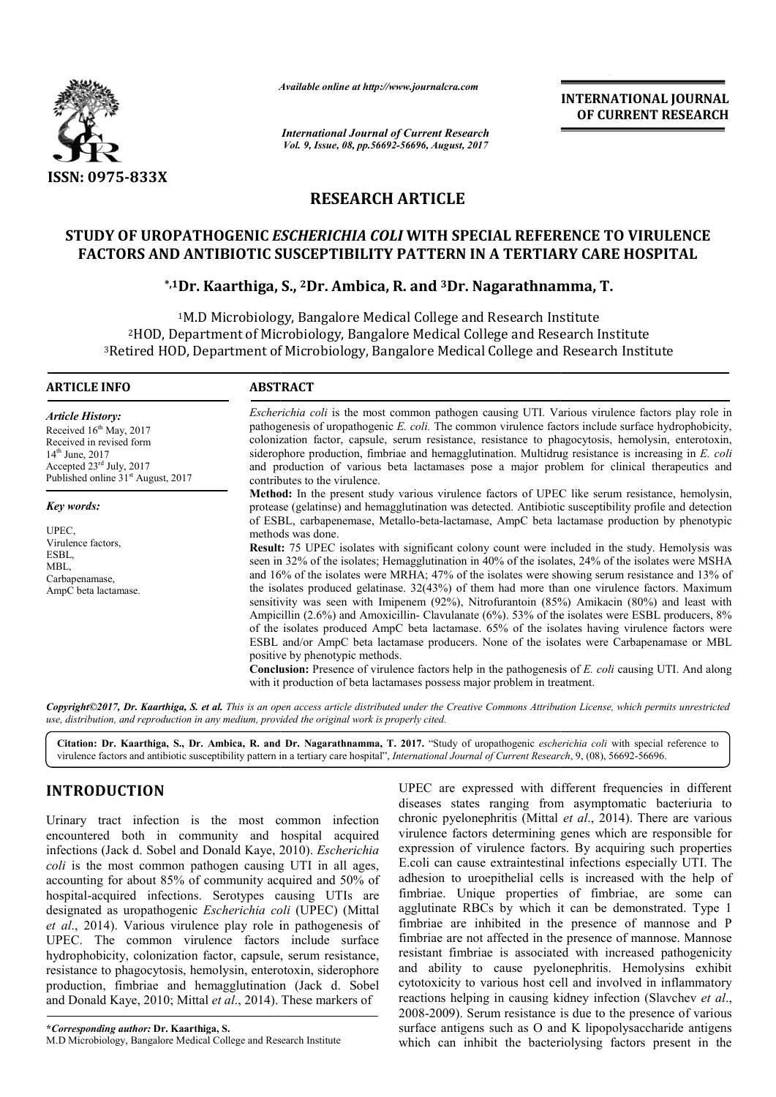

*Available online at http://www.journal http://www.journalcra.com*

# **RESEARCH ARTICLE**

## **STUDY OF UROPATHOGENIC** *ESCHERICHIA COLI*  **WITH SPECIAL REFERENCE TO VIRULENCE FACTORS AND ANTIBIOTIC SUSCEPTIBILITY PATTERN IN A TERTIARY CARE HOSPITAL**

# **\D ANTIBIOTIC SUSCEPTIBILITY PATTERN IN A TERTIARY CAR<br>\*<sup>,1</sup>Dr. Kaarthiga, S., <sup>2</sup>Dr. Ambica, R. and <sup>3</sup>Dr. Nagarathnamma, T.**

|                                                                                                                                                                                                                                                                                                                                                                                                                                                                                                                                                                                                                                                                                                                                                                                                                                                    | шише опине ш пир.// www.journuicru.com                                                                                                                                                                                                                                                      |                                                                                                                                                                                                                                                                                                                                                                                                                                                                                                                                                                                                                                                                                                                                                                                                                                                                                                                                                                                                                                                                                                                                                                                                                                                                                                                               | <b>INTERNATIONAL JOURNAL</b><br>OF CURRENT RESEARCH                                                                                                                                                                                                                                                                                                                                                                                                                                                                                                                                                                                                                                                                                                                                                                                                                                                                                                                                                                                                 |  |
|----------------------------------------------------------------------------------------------------------------------------------------------------------------------------------------------------------------------------------------------------------------------------------------------------------------------------------------------------------------------------------------------------------------------------------------------------------------------------------------------------------------------------------------------------------------------------------------------------------------------------------------------------------------------------------------------------------------------------------------------------------------------------------------------------------------------------------------------------|---------------------------------------------------------------------------------------------------------------------------------------------------------------------------------------------------------------------------------------------------------------------------------------------|-------------------------------------------------------------------------------------------------------------------------------------------------------------------------------------------------------------------------------------------------------------------------------------------------------------------------------------------------------------------------------------------------------------------------------------------------------------------------------------------------------------------------------------------------------------------------------------------------------------------------------------------------------------------------------------------------------------------------------------------------------------------------------------------------------------------------------------------------------------------------------------------------------------------------------------------------------------------------------------------------------------------------------------------------------------------------------------------------------------------------------------------------------------------------------------------------------------------------------------------------------------------------------------------------------------------------------|-----------------------------------------------------------------------------------------------------------------------------------------------------------------------------------------------------------------------------------------------------------------------------------------------------------------------------------------------------------------------------------------------------------------------------------------------------------------------------------------------------------------------------------------------------------------------------------------------------------------------------------------------------------------------------------------------------------------------------------------------------------------------------------------------------------------------------------------------------------------------------------------------------------------------------------------------------------------------------------------------------------------------------------------------------|--|
|                                                                                                                                                                                                                                                                                                                                                                                                                                                                                                                                                                                                                                                                                                                                                                                                                                                    | <b>International Journal of Current Research</b><br>Vol. 9, Issue, 08, pp.56692-56696, August, 2017                                                                                                                                                                                         |                                                                                                                                                                                                                                                                                                                                                                                                                                                                                                                                                                                                                                                                                                                                                                                                                                                                                                                                                                                                                                                                                                                                                                                                                                                                                                                               |                                                                                                                                                                                                                                                                                                                                                                                                                                                                                                                                                                                                                                                                                                                                                                                                                                                                                                                                                                                                                                                     |  |
| ISSN: 0975-833X                                                                                                                                                                                                                                                                                                                                                                                                                                                                                                                                                                                                                                                                                                                                                                                                                                    |                                                                                                                                                                                                                                                                                             |                                                                                                                                                                                                                                                                                                                                                                                                                                                                                                                                                                                                                                                                                                                                                                                                                                                                                                                                                                                                                                                                                                                                                                                                                                                                                                                               |                                                                                                                                                                                                                                                                                                                                                                                                                                                                                                                                                                                                                                                                                                                                                                                                                                                                                                                                                                                                                                                     |  |
|                                                                                                                                                                                                                                                                                                                                                                                                                                                                                                                                                                                                                                                                                                                                                                                                                                                    | <b>RESEARCH ARTICLE</b>                                                                                                                                                                                                                                                                     |                                                                                                                                                                                                                                                                                                                                                                                                                                                                                                                                                                                                                                                                                                                                                                                                                                                                                                                                                                                                                                                                                                                                                                                                                                                                                                                               |                                                                                                                                                                                                                                                                                                                                                                                                                                                                                                                                                                                                                                                                                                                                                                                                                                                                                                                                                                                                                                                     |  |
|                                                                                                                                                                                                                                                                                                                                                                                                                                                                                                                                                                                                                                                                                                                                                                                                                                                    | <b>FACTORS AND ANTIBIOTIC SUSCEPTIBILITY PATTERN IN A TERTIARY CARE HOSPITAL</b>                                                                                                                                                                                                            |                                                                                                                                                                                                                                                                                                                                                                                                                                                                                                                                                                                                                                                                                                                                                                                                                                                                                                                                                                                                                                                                                                                                                                                                                                                                                                                               | STUDY OF UROPATHOGENIC ESCHERICHIA COLI WITH SPECIAL REFERENCE TO VIRULENCE                                                                                                                                                                                                                                                                                                                                                                                                                                                                                                                                                                                                                                                                                                                                                                                                                                                                                                                                                                         |  |
|                                                                                                                                                                                                                                                                                                                                                                                                                                                                                                                                                                                                                                                                                                                                                                                                                                                    | <sup>*,1</sup> Dr. Kaarthiga, S., <sup>2</sup> Dr. Ambica, R. and <sup>3</sup> Dr. Nagarathnamma, T.                                                                                                                                                                                        |                                                                                                                                                                                                                                                                                                                                                                                                                                                                                                                                                                                                                                                                                                                                                                                                                                                                                                                                                                                                                                                                                                                                                                                                                                                                                                                               |                                                                                                                                                                                                                                                                                                                                                                                                                                                                                                                                                                                                                                                                                                                                                                                                                                                                                                                                                                                                                                                     |  |
|                                                                                                                                                                                                                                                                                                                                                                                                                                                                                                                                                                                                                                                                                                                                                                                                                                                    | <sup>1</sup> M.D Microbiology, Bangalore Medical College and Research Institute<br><sup>2</sup> HOD, Department of Microbiology, Bangalore Medical College and Research Institute<br><sup>3</sup> Retired HOD, Department of Microbiology, Bangalore Medical College and Research Institute |                                                                                                                                                                                                                                                                                                                                                                                                                                                                                                                                                                                                                                                                                                                                                                                                                                                                                                                                                                                                                                                                                                                                                                                                                                                                                                                               |                                                                                                                                                                                                                                                                                                                                                                                                                                                                                                                                                                                                                                                                                                                                                                                                                                                                                                                                                                                                                                                     |  |
| <b>ARTICLE INFO</b>                                                                                                                                                                                                                                                                                                                                                                                                                                                                                                                                                                                                                                                                                                                                                                                                                                | <b>ABSTRACT</b>                                                                                                                                                                                                                                                                             |                                                                                                                                                                                                                                                                                                                                                                                                                                                                                                                                                                                                                                                                                                                                                                                                                                                                                                                                                                                                                                                                                                                                                                                                                                                                                                                               |                                                                                                                                                                                                                                                                                                                                                                                                                                                                                                                                                                                                                                                                                                                                                                                                                                                                                                                                                                                                                                                     |  |
| <b>Article History:</b><br>Received 16th May, 2017<br>Received in revised form<br>$14^{th}$ June, 2017<br>Accepted 23rd July, 2017<br>Published online 31 <sup>st</sup> August, 2017                                                                                                                                                                                                                                                                                                                                                                                                                                                                                                                                                                                                                                                               | contributes to the virulence.                                                                                                                                                                                                                                                               |                                                                                                                                                                                                                                                                                                                                                                                                                                                                                                                                                                                                                                                                                                                                                                                                                                                                                                                                                                                                                                                                                                                                                                                                                                                                                                                               | <i>Escherichia coli</i> is the most common pathogen causing UTI. Various virulence factors play role in<br>pathogenesis of uropathogenic E. coli. The common virulence factors include surface hydrophobicity,<br>colonization factor, capsule, serum resistance, resistance to phagocytosis, hemolysin, enterotoxin,<br>siderophore production, fimbriae and hemagglutination. Multidrug resistance is increasing in $E$ . coli<br>and production of various beta lactamases pose a major problem for clinical therapeutics and                                                                                                                                                                                                                                                                                                                                                                                                                                                                                                                    |  |
| <b>Key words:</b><br>UPEC,<br>Virulence factors,<br>ESBL,<br>MBL,<br>Carbapenamase,<br>AmpC beta lactamase.                                                                                                                                                                                                                                                                                                                                                                                                                                                                                                                                                                                                                                                                                                                                        | methods was done.<br>positive by phenotypic methods.                                                                                                                                                                                                                                        | Method: In the present study various virulence factors of UPEC like serum resistance, hemolysin,<br>protease (gelatinse) and hemagglutination was detected. Antibiotic susceptibility profile and detection<br>of ESBL, carbapenemase, Metallo-beta-lactamase, AmpC beta lactamase production by phenotypic<br>Result: 75 UPEC isolates with significant colony count were included in the study. Hemolysis was<br>seen in 32% of the isolates; Hemagglutination in 40% of the isolates, 24% of the isolates were MSHA<br>and 16% of the isolates were MRHA; 47% of the isolates were showing serum resistance and 13% of<br>the isolates produced gelatinase. $32(43%)$ of them had more than one virulence factors. Maximum<br>sensitivity was seen with Imipenem (92%), Nitrofurantoin (85%) Amikacin (80%) and least with<br>Ampicillin (2.6%) and Amoxicillin- Clavulanate (6%). 53% of the isolates were ESBL producers, 8%<br>of the isolates produced AmpC beta lactamase. 65% of the isolates having virulence factors were<br>ESBL and/or AmpC beta lactamase producers. None of the isolates were Carbapenamase or MBL<br><b>Conclusion:</b> Presence of virulence factors help in the pathogenesis of E. coli causing UTI. And along<br>with it production of beta lactamases possess major problem in treatment. |                                                                                                                                                                                                                                                                                                                                                                                                                                                                                                                                                                                                                                                                                                                                                                                                                                                                                                                                                                                                                                                     |  |
|                                                                                                                                                                                                                                                                                                                                                                                                                                                                                                                                                                                                                                                                                                                                                                                                                                                    | use, distribution, and reproduction in any medium, provided the original work is properly cited.                                                                                                                                                                                            |                                                                                                                                                                                                                                                                                                                                                                                                                                                                                                                                                                                                                                                                                                                                                                                                                                                                                                                                                                                                                                                                                                                                                                                                                                                                                                                               | Copyright©2017, Dr. Kaarthiga, S. et al. This is an open access article distributed under the Creative Commons Attribution License, which permits unrestricted                                                                                                                                                                                                                                                                                                                                                                                                                                                                                                                                                                                                                                                                                                                                                                                                                                                                                      |  |
|                                                                                                                                                                                                                                                                                                                                                                                                                                                                                                                                                                                                                                                                                                                                                                                                                                                    | virulence factors and antibiotic susceptibility pattern in a tertiary care hospital", <i>International Journal of Current Research</i> , 9, (08), 56692-56696.                                                                                                                              |                                                                                                                                                                                                                                                                                                                                                                                                                                                                                                                                                                                                                                                                                                                                                                                                                                                                                                                                                                                                                                                                                                                                                                                                                                                                                                                               | Citation: Dr. Kaarthiga, S., Dr. Ambica, R. and Dr. Nagarathnamma, T. 2017. "Study of uropathogenic <i>escherichia coli</i> with special reference to                                                                                                                                                                                                                                                                                                                                                                                                                                                                                                                                                                                                                                                                                                                                                                                                                                                                                               |  |
| <b>INTRODUCTION</b><br>Urinary tract infection is the most common infection<br>encountered both in community and hospital acquired<br>infections (Jack d. Sobel and Donald Kaye, 2010). Escherichia<br>coli is the most common pathogen causing UTI in all ages,<br>accounting for about 85% of community acquired and 50% of<br>hospital-acquired infections. Serotypes causing UTIs are<br>designated as uropathogenic Escherichia coli (UPEC) (Mittal<br>et al., 2014). Various virulence play role in pathogenesis of<br>UPEC. The common virulence factors include surface<br>hydrophobicity, colonization factor, capsule, serum resistance,<br>resistance to phagocytosis, hemolysin, enterotoxin, siderophore<br>production, fimbriae and hemagglutination (Jack d. Sobel<br>and Donald Kaye, 2010; Mittal et al., 2014). These markers of |                                                                                                                                                                                                                                                                                             |                                                                                                                                                                                                                                                                                                                                                                                                                                                                                                                                                                                                                                                                                                                                                                                                                                                                                                                                                                                                                                                                                                                                                                                                                                                                                                                               | UPEC are expressed with different frequencies in different<br>diseases states ranging from asymptomatic bacteriuria to<br>chronic pyelonephritis (Mittal et al., 2014). There are various<br>virulence factors determining genes which are responsible for<br>expression of virulence factors. By acquiring such properties<br>E.coli can cause extraintestinal infections especially UTI. The<br>adhesion to uroepithelial cells is increased with the help of<br>fimbriae. Unique properties of fimbriae, are some can<br>agglutinate RBCs by which it can be demonstrated. Type 1<br>fimbriae are inhibited in the presence of mannose and P<br>fimbriae are not affected in the presence of mannose. Mannose<br>resistant fimbriae is associated with increased pathogenicity<br>and ability to cause pyelonephritis. Hemolysins exhibit<br>cytotoxicity to various host cell and involved in inflammatory<br>reactions helping in causing kidney infection (Slavchev et al.,<br>2008-2009). Serum resistance is due to the presence of various |  |
| *Corresponding author: Dr. Kaarthiga, S.<br>M.D Microbiology, Bangalore Medical College and Research Institute                                                                                                                                                                                                                                                                                                                                                                                                                                                                                                                                                                                                                                                                                                                                     |                                                                                                                                                                                                                                                                                             |                                                                                                                                                                                                                                                                                                                                                                                                                                                                                                                                                                                                                                                                                                                                                                                                                                                                                                                                                                                                                                                                                                                                                                                                                                                                                                                               | surface antigens such as O and K lipopolysaccharide antigens<br>which can inhibit the bacteriolysing factors present in the                                                                                                                                                                                                                                                                                                                                                                                                                                                                                                                                                                                                                                                                                                                                                                                                                                                                                                                         |  |

# **INTRODUCTION**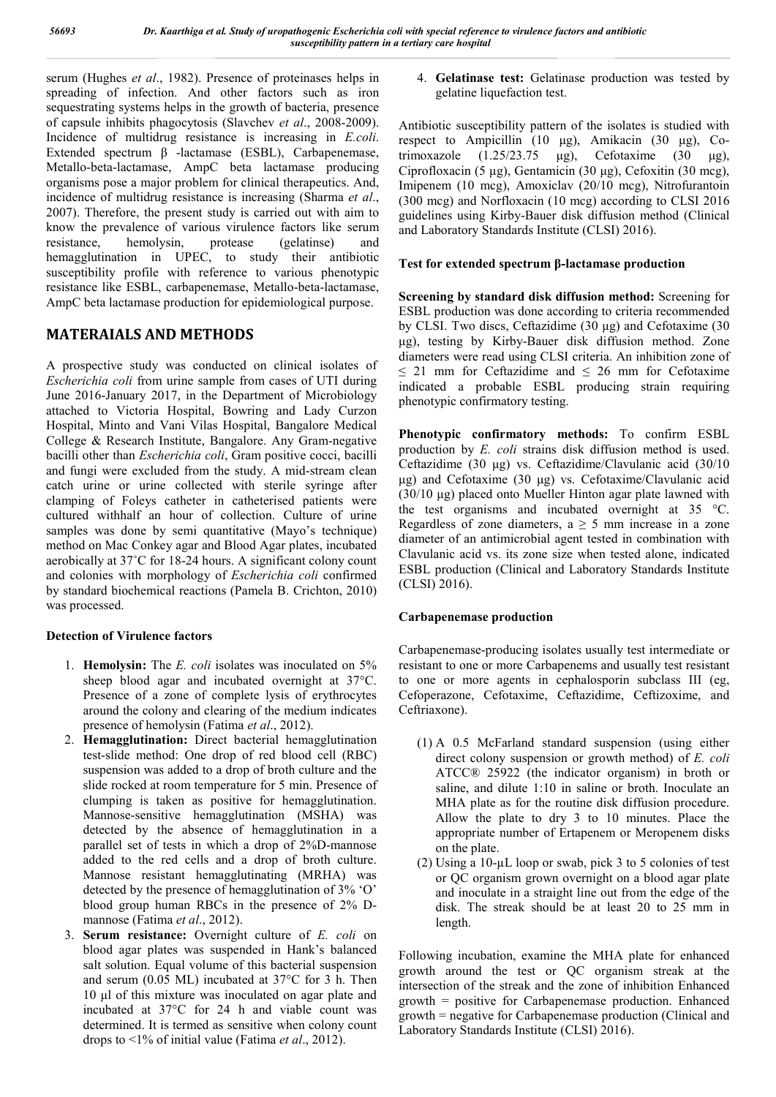serum (Hughes *et al*., 1982). Presence of proteinases helps in spreading of infection. And other factors such as iron sequestrating systems helps in the growth of bacteria, presence of capsule inhibits phagocytosis (Slavchev *et al*., 2008-2009). Incidence of multidrug resistance is increasing in *E.coli*. Extended spectrum β -lactamase (ESBL), Carbapenemase, Metallo-beta-lactamase, AmpC beta lactamase producing organisms pose a major problem for clinical therapeutics. And, incidence of multidrug resistance is increasing (Sharma *et al*., 2007). Therefore, the present study is carried out with aim to know the prevalence of various virulence factors like serum<br>resistance, hemolysin, protease (gelatinse) and resistance, hemolysin, protease (gelatinse) and hemagglutination in UPEC, to study their antibiotic susceptibility profile with reference to various phenotypic resistance like ESBL, carbapenemase, Metallo-beta-lactamase, AmpC beta lactamase production for epidemiological purpose.

# **MATERAIALS AND METHODS**

A prospective study was conducted on clinical isolates of *Escherichia coli* from urine sample from cases of UTI during June 2016-January 2017, in the Department of Microbiology attached to Victoria Hospital, Bowring and Lady Curzon Hospital, Minto and Vani Vilas Hospital, Bangalore Medical College & Research Institute, Bangalore. Any Gram-negative bacilli other than *Escherichia coli*, Gram positive cocci, bacilli and fungi were excluded from the study. A mid-stream clean catch urine or urine collected with sterile syringe after clamping of Foleys catheter in catheterised patients were cultured withhalf an hour of collection. Culture of urine samples was done by semi quantitative (Mayo's technique) method on Mac Conkey agar and Blood Agar plates, incubated aerobically at 37˚C for 18-24 hours. A significant colony count and colonies with morphology of *Escherichia coli* confirmed by standard biochemical reactions (Pamela B. Crichton, 2010) was processed.

## **Detection of Virulence factors**

- 1. **Hemolysin:** The *E. coli* isolates was inoculated on 5% sheep blood agar and incubated overnight at 37°C. Presence of a zone of complete lysis of erythrocytes around the colony and clearing of the medium indicates presence of hemolysin (Fatima *et al*., 2012).
- 2. **Hemagglutination:** Direct bacterial hemagglutination test-slide method: One drop of red blood cell (RBC) suspension was added to a drop of broth culture and the slide rocked at room temperature for 5 min. Presence of clumping is taken as positive for hemagglutination. Mannose-sensitive hemagglutination (MSHA) was detected by the absence of hemagglutination in a parallel set of tests in which a drop of 2%D-mannose added to the red cells and a drop of broth culture. Mannose resistant hemagglutinating (MRHA) was detected by the presence of hemagglutination of 3% 'O' blood group human RBCs in the presence of 2% Dmannose (Fatima *et al*., 2012).
- 3. **Serum resistance:** Overnight culture of *E. coli* on blood agar plates was suspended in Hank's balanced salt solution. Equal volume of this bacterial suspension and serum (0.05 ML) incubated at 37°C for 3 h. Then 10 μl of this mixture was inoculated on agar plate and incubated at 37°C for 24 h and viable count was determined. It is termed as sensitive when colony count drops to <1% of initial value (Fatima *et al*., 2012).

4. **Gelatinase test:** Gelatinase production was tested by gelatine liquefaction test.

Antibiotic susceptibility pattern of the isolates is studied with respect to Ampicillin (10 μg), Amikacin (30 μg), Cotrimoxazole  $(1.25/23.75 \text{ \mu g})$ , Cefotaxime  $(30 \text{ \mu g})$ , Ciprofloxacin (5 μg), Gentamicin (30 μg), Cefoxitin (30 mcg), Imipenem (10 mcg), Amoxiclav (20/10 mcg), Nitrofurantoin (300 mcg) and Norfloxacin (10 mcg) according to CLSI 2016 guidelines using Kirby-Bauer disk diffusion method (Clinical and Laboratory Standards Institute (CLSI) 2016).

## **Test for extended spectrum β-lactamase production**

**Screening by standard disk diffusion method:** Screening for ESBL production was done according to criteria recommended by CLSI. Two discs, Ceftazidime (30 μg) and Cefotaxime (30 μg), testing by Kirby-Bauer disk diffusion method. Zone diameters were read using CLSI criteria. An inhibition zone of  $\leq$  21 mm for Ceftazidime and  $\leq$  26 mm for Cefotaxime indicated a probable ESBL producing strain requiring phenotypic confirmatory testing.

**Phenotypic confirmatory methods:** To confirm ESBL production by *E. coli* strains disk diffusion method is used. Ceftazidime (30 μg) vs. Ceftazidime/Clavulanic acid (30/10 μg) and Cefotaxime (30 μg) vs. Cefotaxime/Clavulanic acid (30/10 μg) placed onto Mueller Hinton agar plate lawned with the test organisms and incubated overnight at 35 °C. Regardless of zone diameters,  $a \ge 5$  mm increase in a zone diameter of an antimicrobial agent tested in combination with Clavulanic acid vs. its zone size when tested alone, indicated ESBL production (Clinical and Laboratory Standards Institute (CLSI) 2016).

## **Carbapenemase production**

Carbapenemase-producing isolates usually test intermediate or resistant to one or more Carbapenems and usually test resistant to one or more agents in cephalosporin subclass III (eg, Cefoperazone, Cefotaxime, Ceftazidime, Ceftizoxime, and Ceftriaxone).

- (1) A 0.5 McFarland standard suspension (using either direct colony suspension or growth method) of *E. coli* ATCC® 25922 (the indicator organism) in broth or saline, and dilute 1:10 in saline or broth. Inoculate an MHA plate as for the routine disk diffusion procedure. Allow the plate to dry 3 to 10 minutes. Place the appropriate number of Ertapenem or Meropenem disks on the plate.
- (2) Using a  $10-\mu L$  loop or swab, pick 3 to 5 colonies of test or QC organism grown overnight on a blood agar plate and inoculate in a straight line out from the edge of the disk. The streak should be at least 20 to 25 mm in length.

Following incubation, examine the MHA plate for enhanced growth around the test or QC organism streak at the intersection of the streak and the zone of inhibition Enhanced growth = positive for Carbapenemase production. Enhanced growth = negative for Carbapenemase production (Clinical and Laboratory Standards Institute (CLSI) 2016).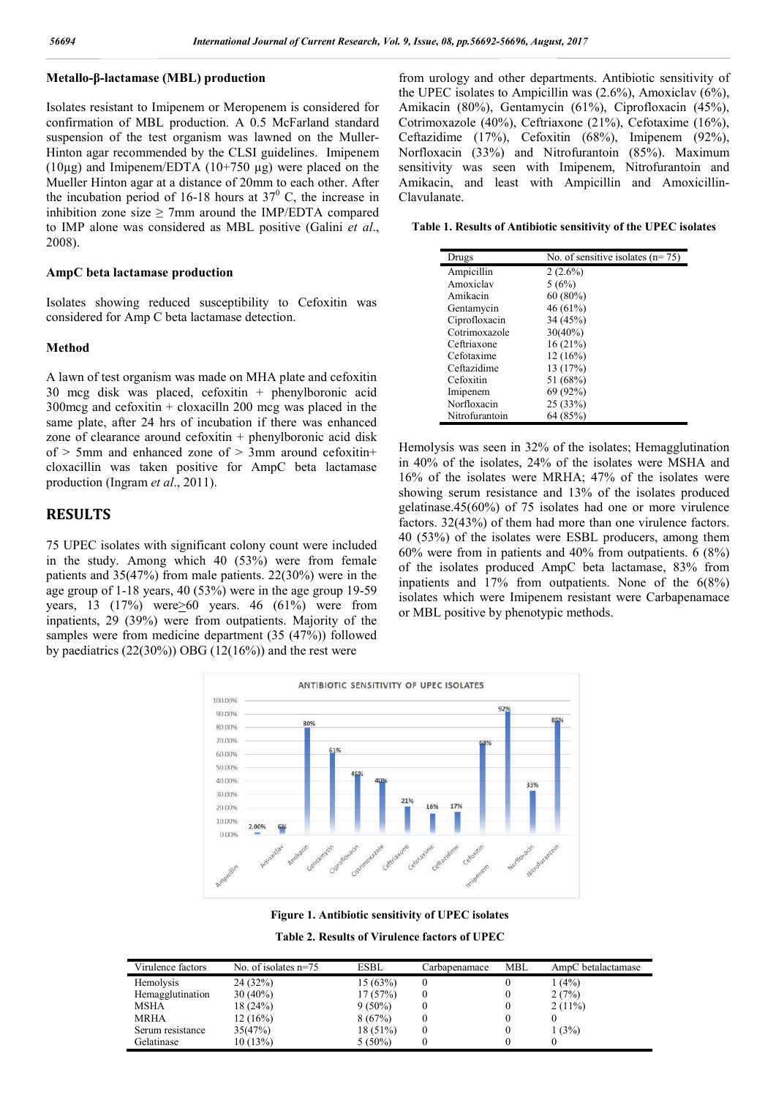#### **Metallo-β-lactamase (MBL) production**

Isolates resistant to Imipenem or Meropenem is considered for confirmation of MBL production. A 0.5 McFarland standard suspension of the test organism was lawned on the Muller-Hinton agar recommended by the CLSI guidelines. Imipenem  $(10\mu$ g) and Imipenem/EDTA  $(10+750 \mu$ g) were placed on the Mueller Hinton agar at a distance of 20mm to each other. After the incubation period of 16-18 hours at  $37^\circ$  C, the increase in inhibition zone size  $\geq$  7mm around the IMP/EDTA compared to IMP alone was considered as MBL positive (Galini *et al*., 2008).

#### **AmpC beta lactamase production**

Isolates showing reduced susceptibility to Cefoxitin was considered for Amp C beta lactamase detection.

#### **Method**

A lawn of test organism was made on MHA plate and cefoxitin 30 mcg disk was placed, cefoxitin + phenylboronic acid 300mcg and cefoxitin + cloxacilln 200 mcg was placed in the same plate, after 24 hrs of incubation if there was enhanced zone of clearance around cefoxitin + phenylboronic acid disk of  $> 5$ mm and enhanced zone of  $> 3$ mm around cefoxitin+ cloxacillin was taken positive for AmpC beta lactamase production (Ingram *et al*., 2011).

### **RESULTS**

75 UPEC isolates with significant colony count were included in the study. Among which 40 (53%) were from female patients and 35(47%) from male patients. 22(30%) were in the age group of 1-18 years, 40 (53%) were in the age group 19-59 years, 13 (17%) were  $\geq 60$  years. 46 (61%) were from inpatients, 29 (39%) were from outpatients. Majority of the samples were from medicine department (35 (47%)) followed by paediatrics  $(22(30\%)$  OBG  $(12(16\%)$  and the rest were

from urology and other departments. Antibiotic sensitivity of the UPEC isolates to Ampicillin was (2.6%), Amoxiclav (6%), Amikacin (80%), Gentamycin (61%), Ciprofloxacin (45%), Cotrimoxazole (40%), Ceftriaxone (21%), Cefotaxime (16%), Ceftazidime (17%), Cefoxitin (68%), Imipenem (92%), Norfloxacin (33%) and Nitrofurantoin (85%). Maximum sensitivity was seen with Imipenem, Nitrofurantoin and Amikacin, and least with Ampicillin and Amoxicillin-Clavulanate.

**Table 1. Results of Antibiotic sensitivity of the UPEC isolates**

| Drugs          | No. of sensitive isolates $(n=75)$ |
|----------------|------------------------------------|
| Ampicillin     | $2(2.6\%)$                         |
| Amoxiclav      | 5(6%)                              |
| Amikacin       | $60(80\%)$                         |
| Gentamycin     | 46 (61%)                           |
| Ciprofloxacin  | 34 (45%)                           |
| Cotrimoxazole  | $30(40\%)$                         |
| Ceftriaxone    | 16(21%)                            |
| Cefotaxime     | 12(16%)                            |
| Ceftazidime    | 13(17%)                            |
| Cefoxitin      | 51 (68%)                           |
| Imipenem       | 69 (92%)                           |
| Norfloxacin    | 25(33%)                            |
| Nitrofurantoin | 64 (85%)                           |

Hemolysis was seen in 32% of the isolates; Hemagglutination in 40% of the isolates, 24% of the isolates were MSHA and 16% of the isolates were MRHA; 47% of the isolates were showing serum resistance and 13% of the isolates produced gelatinase.45(60%) of 75 isolates had one or more virulence factors. 32(43%) of them had more than one virulence factors. 40 (53%) of the isolates were ESBL producers, among them 60% were from in patients and 40% from outpatients. 6 (8%) of the isolates produced AmpC beta lactamase, 83% from inpatients and 17% from outpatients. None of the 6(8%) isolates which were Imipenem resistant were Carbapenamace or MBL positive by phenotypic methods.



**Figure 1. Antibiotic sensitivity of UPEC isolates**

**Table 2. Results of Virulence factors of UPEC**

| Virulence factors | No. of isolates $n=75$ | <b>ESBL</b> | Carbapenamace | MBL | AmpC betalactamase |
|-------------------|------------------------|-------------|---------------|-----|--------------------|
| Hemolysis         | 24(32%)                | 15(63%)     |               |     | 1(4%)              |
| Hemagglutination  | $30(40\%)$             | 17(57%)     |               |     | 2(7%)              |
| MSHA              | 18(24%)                | $9(50\%)$   |               |     | 2(11%)             |
| <b>MRHA</b>       | 12(16%)                | 8(67%)      |               |     |                    |
| Serum resistance  | 35(47%)                | $18(51\%)$  |               |     | 1(3%)              |
| Gelatinase        | 10(13%)                | $5(50\%)$   |               |     |                    |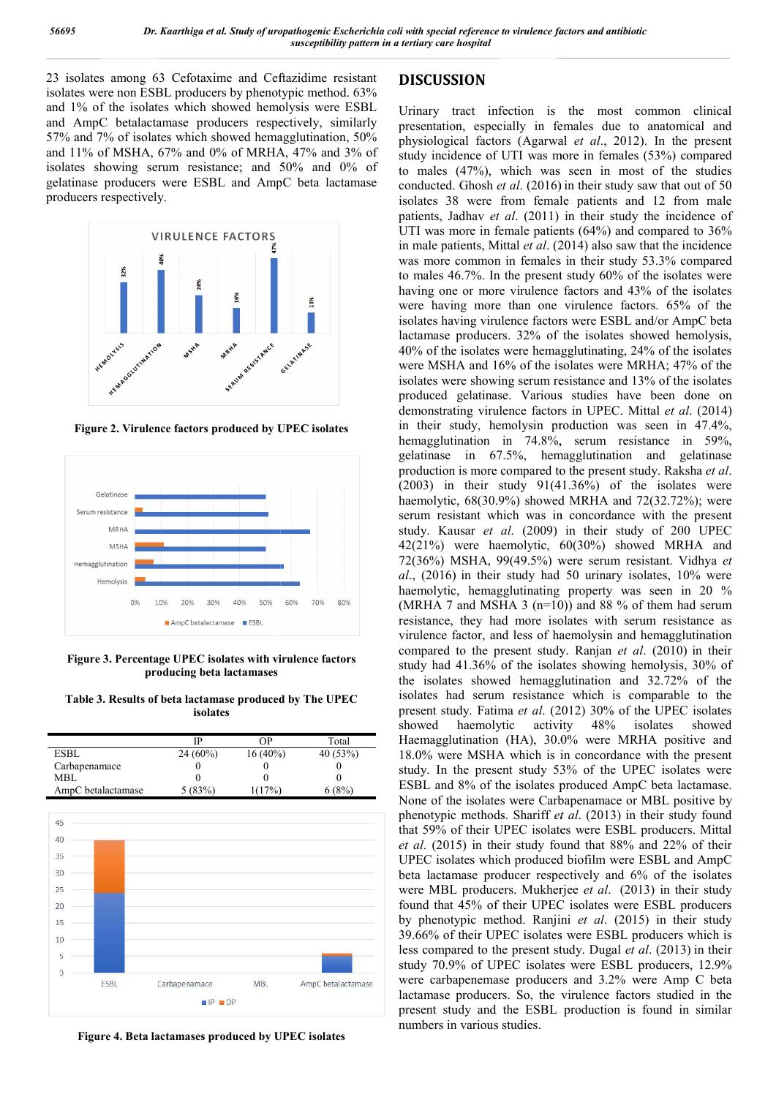23 isolates among 63 Cefotaxime and Ceftazidime resistant isolates were non ESBL producers by phenotypic method. 63% and 1% of the isolates which showed hemolysis were ESBL and AmpC betalactamase producers respectively, similarly 57% and 7% of isolates which showed hemagglutination, 50% and 11% of MSHA, 67% and 0% of MRHA, 47% and 3% of isolates showing serum resistance; and 50% and 0% of gelatinase producers were ESBL and AmpC beta lactamase producers respectively.



**Figure 2. Virulence factors produced by UPEC isolates**



**Figure 3. Percentage UPEC isolates with virulence factors producing beta lactamases**

**Table 3. Results of beta lactamase produced by The UPEC isolates**

|                    | IP         | ΩP         | Total   |
|--------------------|------------|------------|---------|
| ESBL               | $24(60\%)$ | $16(40\%)$ | 40(53%) |
| Carbapenamace      |            |            |         |
| MBL                |            |            |         |
| AmpC betalactamase | 5(83%)     | (17%)      |         |



**Figure 4. Beta lactamases produced by UPEC isolates**

# **DISCUSSION**

Urinary tract infection is the most common clinical presentation, especially in females due to anatomical and Urinary tract infection is the most common clinical presentation, especially in females due to anatomical and physiological factors (Agarwal *et al.*, 2012). In the present study incidence of UTI was more in females (53%) compared to males  $(47%)$ , which was seen in most of the studies conducted. Ghosh *et al*. (2016) in their study saw that out of 50 isolates 38 were from female patients and 12 12 from male patients, Jadhav *et al*. (2011) in their study the incidence of UTI was more in female patients (64%) and compared to 36% UTI was more in female patients (64%) and compared to 36% in male patients, Mittal *et al.* (2014) also saw that the incidence was more common in females in their study 53.3% compared to males 46.7%. In the present study 60% of the isolates were having one or more virulence factors and 43% of the isolates were having more than one virulence factors. 65% of the isolates having virulence factors were ESBL and/or AmpC beta lactamase producers. 32% of the isolates showed hemolysis, 40% of the isolates were hemagglutinating, 24% of the isolates were MSHA and 16% of the isolates were MRHA; 47% of the isolates were showing serum resistance and 13% of the isolates were MSHA and 16% of the isolates were MRHA; 47% of the isolates were showing serum resistance and 13% of the isolates produced gelatinase. Various studies have been done on demonstrating virulence factors in UPEC. Mittal et al. (2014) in their study, hemolysin production was seen in 47.4%, hemagglutination in 74.8%, serum resistance in 59%, gelatinase in 67.5%, hemagglutination and gelatinase production is more compared to the present study. Raksha et al.  $(2003)$  in their study  $91(41.36%)$  of the isolates were haemolytic,  $68(30.9\%)$  showed MRHA and  $72(32.72\%)$ ; were serum resistant which was in concordance with the present (2003) in their study  $91(41.36%)$  of the isolates were haemolytic,  $68(30.9%)$  showed MRHA and  $72(32.72%)$ ; were serum resistant which was in concordance with the present study. Kausar *et al.* (2009) in their study of 200  $42(21%)$  were haemolytic,  $60(30%)$  showed MRHA and 72(36%) MSHA, 99(49.5%) were serum resistant. Vidhya *et al*., (2016) in their study had 50 urinary isolates, 10% were haemolytic, hemagglutinating property was seen in 20 % (MRHA 7 and MSHA 3  $(n=10)$ ) and 88 % of them had serum resistance, they had more isolates with serum resistance as virulence factor, and less of haemolysin and hemagglutination compared to the present study. Ranjan *et al.* (2010) in their study had 41.36% of the isolates showing hemolysis, 30% of the isolates showed hemagglutination and 32.72% of the the isolates showed hemagglutination and 32.72% of the isolates had serum resistance which is comparable to the present study. Fatima *et al*. (2012) 30% of the UPEC isolates showed haemolytic activity 48% isolates showed Haemagglutination (HA), 30.0% were MRHA positive and 18.0% were MSHA which is in concordance with the present study. In the present study 53% of the UPEC isolates were ESBL and 8% of the isolates produced AmpC beta lactama 18.0% were MSHA which is in concordance with the present study. In the present study 53% of the UPEC isolates were ESBL and 8% of the isolates produced AmpC beta lactamase. None of the isolates were Carbapenamace or MBL positive phenotypic methods. Shariff *et al* . (2013) in their study found that 59% of their UPEC isolates were ESBL producers. Mittal *et al*. (2015) in their study found that 88% and 22% of their UPEC isolates which produced biofilm were ESBL and AmpC beta lactamase producer respectively and 6% of the isolates were MBL producers. Mukherjee et al. (2013) in their study found that 45% of their UPEC isolates were ESBL producers by phenotypic method. Ranjini *et al*. (2015) in their study 39.66% of their UPEC isolates were ESBL producers which is 39.66% of their UPEC isolates were ESBL producers which is less compared to the present study. Dugal *et al.* (2013) in their study 70.9% of UPEC isolates were ESBL producers, 12.9% were carbapenemase producers and 3.2% were Amp C beta lactamase producers. So, the virulence factors studied in the lactamase producers. So, the virulence factors studied in the present study and the ESBL production is found in similar numbers in various studies. was more common in females in their study 53.3% compared<br>to males 46.7%. In the present study 60% of the isolates were<br>having one or more virulence factors and 43% of the isolates<br>were having more than one virulence factor in their study, hemolysin production was seen in 47.4%, hemagglutination in 74.8%, serum resistance in 59%, gelatinase in 67.5%, hemagglutination and gelatinase production is more compared to the present study. Raksha *et* had more isolates with serum resistance as<br>and less of haemolysin and hemagglutination<br>present study. Ranjan *et al.* (2010) in their their study found that 88% and 22% of their which produced biofilm were ESBL and AmpC producer respectively and 6% of the isolates ducers. Mukherjee *et al.* (2013) in their study